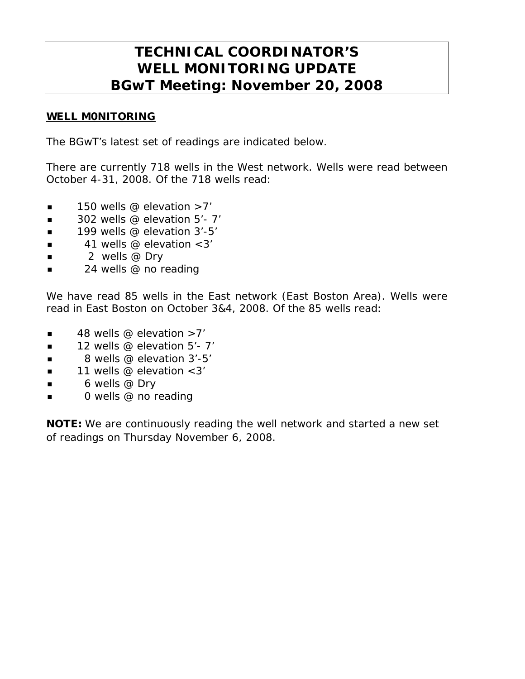# **TECHNICAL COORDINATOR'S WELL MONITORING UPDATE BGwT Meeting: November 20, 2008**

## WELL M0NITORING

The BGwT's latest set of readings are indicated below.

There are currently 718 wells in the West network. Wells were read between October 4-31, 2008. Of the 718 wells read:

- $\blacksquare$  150 wells @ elevation >7'
- $\blacksquare$  302 wells @ elevation 5'-7'
- $\blacksquare$  199 wells @ elevation 3'-5'
- $\blacksquare$  41 wells @ elevation < 3'
- $\blacksquare$  2 wells @ Dry
- 24 wells @ no reading

We have read 85 wells in the East network (East Boston Area). Wells were read in East Boston on October 3&4, 2008. Of the 85 wells read:

- $\blacksquare$  48 wells @ elevation >7'
- $\blacksquare$  12 wells @ elevation 5'- 7'
- $\blacksquare$  8 wells @ elevation 3'-5'
- $\blacksquare$  11 wells @ elevation < 3'
- $\blacksquare$  6 wells @ Dry
- 0 wells @ no reading

NOTE: We are continuously reading the well network and started a new set of readings on Thursday November 6, 2008.